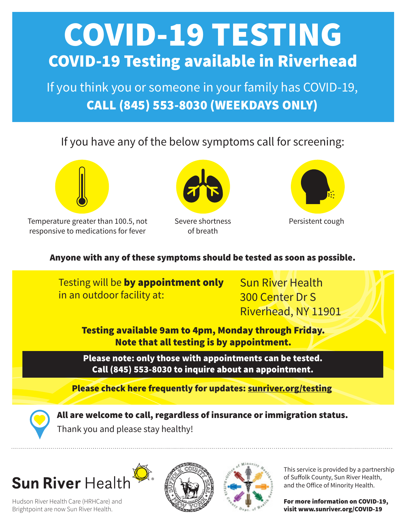# COVID-19 TESTING COVID-19 Testing available in Riverhead

If you think you or someone in your family has COVID-19, CALL (845) 553-8030 (WEEKDAYS ONLY)

### If you have any of the below symptoms call for screening:



Temperature greater than 100.5, not responsive to medications for fever



Severe shortness of breath



Persistent cough

#### Anyone with any of these symptoms should be tested as soon as possible.



### Sun River Health

Hudson River Health Care (HRHCare) and Brightpoint are now Sun River Health.





This service is provided by a partnership of Suffolk County, Sun River Health, and the Office of Minority Health.

For more information on COVID-19, visit www.sunriver.org/COVID-19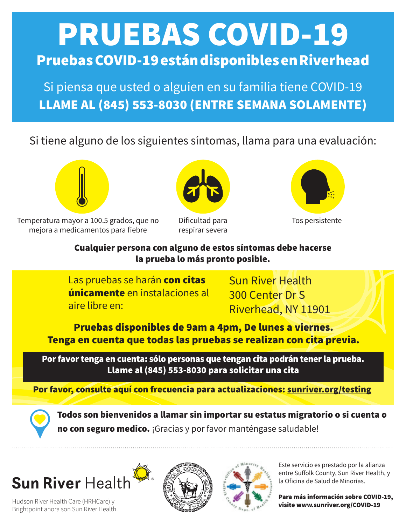# PRUEBAS COVID-19 Pruebas COVID-19 están disponibles en Riverhead

Si piensa que usted o alguien en su familia tiene COVID-19 LLAME AL (845) 553-8030 (ENTRE SEMANA SOLAMENTE)

Si tiene alguno de los siguientes síntomas, llama para una evaluación:



Temperatura mayor a 100.5 grados, que no mejora a medicamentos para fiebre



Dificultad para respirar severa



Tos persistente

#### Cualquier persona con alguno de estos síntomas debe hacerse la prueba lo más pronto posible.

Las pruebas se harán con citas únicamente en instalaciones al aire libre en:

Sun River Health 300 Center Dr S Riverhead, NY 11901

Pruebas disponibles de 9am a 4pm, De lunes a viernes. Tenga en cuenta que todas las pruebas se realizan con cita previa.

Por favor tenga en cuenta: sólo personas que tengan cita podrán tener la prueba. Llame al (845) 553-8030 para solicitar una cita

Por favor, consulte aquí con frecuencia para actualizaciones: sunriver.org/testing



Todos son bienvenidos a llamar sin importar su estatus migratorio o si cuenta o no con seguro medico. ¡Gracias y por favor manténgase saludable!

## Sun River Health

Hudson River Health Care (HRHCare) y Brightpoint ahora son Sun River Health.





Este servicio es prestado por la alianza entre Suffolk County, Sun River Health, y la Oficina de Salud de Minorías.

Para más información sobre COVID-19, visite www.sunriver.org/COVID-19